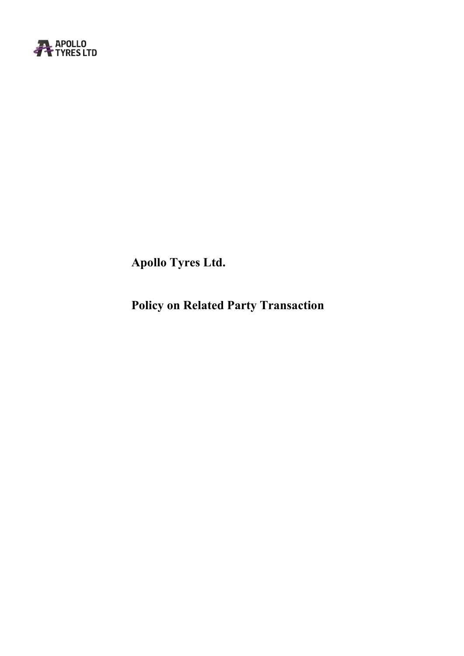

**Apollo Tyres Ltd.**

**Policy on Related Party Transaction**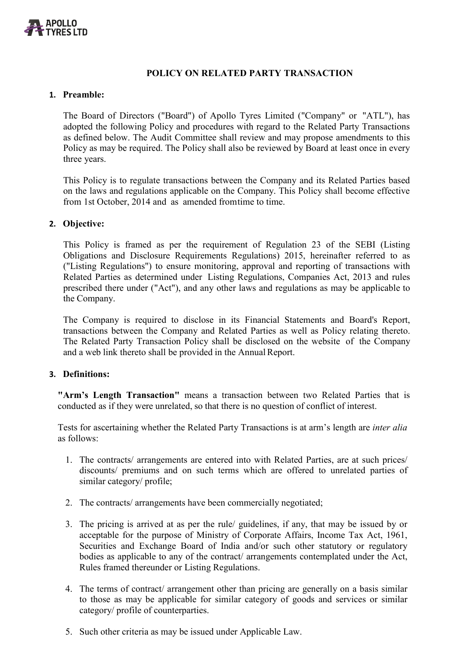

# **POLICY ON RELATED PARTY TRANSACTION**

#### **1. Preamble:**

The Board of Directors ("Board") of Apollo Tyres Limited ("Company" or "ATL"), has adopted the following Policy and procedures with regard to the Related Party Transactions as defined below. The Audit Committee shall review and may propose amendments to this Policy as may be required. The Policy shall also be reviewed by Board at least once in every three years.

This Policy is to regulate transactions between the Company and its Related Parties based on the laws and regulations applicable on the Company. This Policy shall become effective from 1st October, 2014 and as amended fromtime to time.

#### **2. Objective:**

This Policy is framed as per the requirement of Regulation 23 of the SEBI (Listing Obligations and Disclosure Requirements Regulations) 2015, hereinafter referred to as ("Listing Regulations") to ensure monitoring, approval and reporting of transactions with Related Parties as determined under Listing Regulations, Companies Act, 2013 and rules prescribed there under ("Act"), and any other laws and regulations as may be applicable to the Company.

The Company is required to disclose in its Financial Statements and Board's Report, transactions between the Company and Related Parties as well as Policy relating thereto. The Related Party Transaction Policy shall be disclosed on the website of the Company and a web link thereto shall be provided in the Annual Report.

#### **3. Definitions:**

**"Arm's Length Transaction"** means a transaction between two Related Parties that is conducted as if they were unrelated, so that there is no question of conflict of interest.

Tests for ascertaining whether the Related Party Transactions is at arm's length are *inter alia* as follows:

- 1. The contracts/ arrangements are entered into with Related Parties, are at such prices/ discounts/ premiums and on such terms which are offered to unrelated parties of similar category/ profile;
- 2. The contracts/ arrangements have been commercially negotiated;
- 3. The pricing is arrived at as per the rule/ guidelines, if any, that may be issued by or acceptable for the purpose of Ministry of Corporate Affairs, Income Tax Act, 1961, Securities and Exchange Board of India and/or such other statutory or regulatory bodies as applicable to any of the contract/ arrangements contemplated under the Act, Rules framed thereunder or Listing Regulations.
- 4. The terms of contract/ arrangement other than pricing are generally on a basis similar to those as may be applicable for similar category of goods and services or similar category/ profile of counterparties.
- 5. Such other criteria as may be issued under Applicable Law.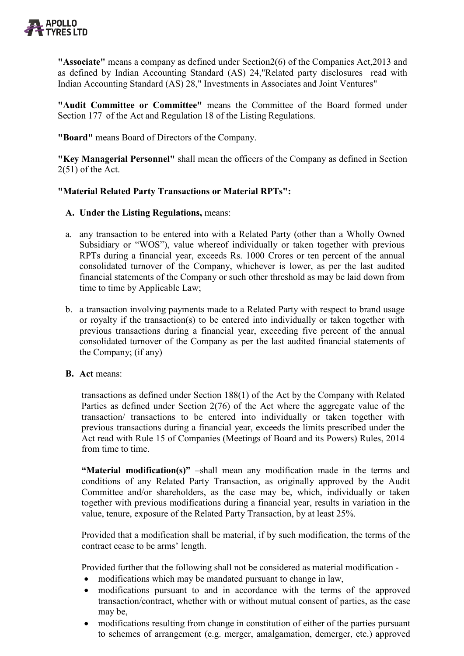

**"Associate"** means a company as defined under Section2(6) of the Companies Act,2013 and as defined by Indian Accounting Standard (AS) 24,"Related party disclosures read with Indian Accounting Standard (AS) 28," Investments in Associates and Joint Ventures"

**"Audit Committee or Committee"** means the Committee of the Board formed under Section 177 of the Act and Regulation 18 of the Listing Regulations.

**"Board"** means Board of Directors of the Company.

**"Key Managerial Personnel"** shall mean the officers of the Company as defined in Section 2(51) of the Act.

## **"Material Related Party Transactions or Material RPTs":**

### **A. Under the Listing Regulations,** means:

- a. any transaction to be entered into with a Related Party (other than a Wholly Owned Subsidiary or "WOS"), value whereof individually or taken together with previous RPTs during a financial year, exceeds Rs. 1000 Crores or ten percent of the annual consolidated turnover of the Company, whichever is lower, as per the last audited financial statements of the Company or such other threshold as may be laid down from time to time by Applicable Law;
- b. a transaction involving payments made to a Related Party with respect to brand usage or royalty if the transaction(s) to be entered into individually or taken together with previous transactions during a financial year, exceeding five percent of the annual consolidated turnover of the Company as per the last audited financial statements of the Company; (if any)
- **B. Act** means:

transactions as defined under Section 188(1) of the Act by the Company with Related Parties as defined under Section 2(76) of the Act where the aggregate value of the transaction/ transactions to be entered into individually or taken together with previous transactions during a financial year, exceeds the limits prescribed under the Act read with Rule 15 of Companies (Meetings of Board and its Powers) Rules, 2014 from time to time.

**"Material modification(s)"** –shall mean any modification made in the terms and conditions of any Related Party Transaction, as originally approved by the Audit Committee and/or shareholders, as the case may be, which, individually or taken together with previous modifications during a financial year, results in variation in the value, tenure, exposure of the Related Party Transaction, by at least 25%.

Provided that a modification shall be material, if by such modification, the terms of the contract cease to be arms' length.

Provided further that the following shall not be considered as material modification -

- modifications which may be mandated pursuant to change in law,
- modifications pursuant to and in accordance with the terms of the approved transaction/contract, whether with or without mutual consent of parties, as the case may be,
- modifications resulting from change in constitution of either of the parties pursuant to schemes of arrangement (e.g. merger, amalgamation, demerger, etc.) approved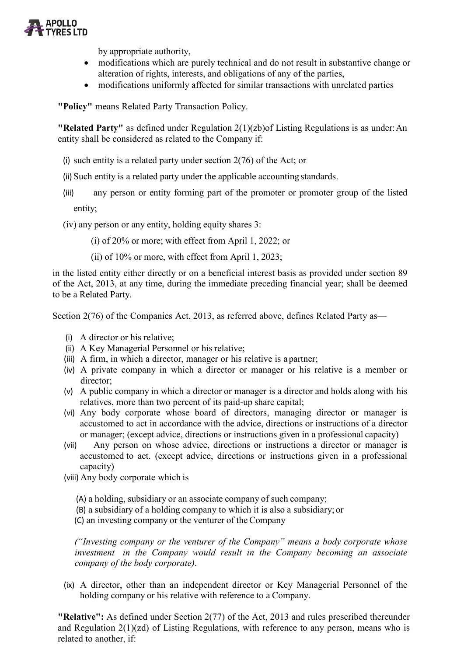

by appropriate authority,

- modifications which are purely technical and do not result in substantive change or alteration of rights, interests, and obligations of any of the parties,
- modifications uniformly affected for similar transactions with unrelated parties

**"Policy"** means Related Party Transaction Policy.

**"Related Party"** as defined under Regulation 2(1)(zb)of Listing Regulations is as under:An entity shall be considered as related to the Company if:

- (i) such entity is a related party under section  $2(76)$  of the Act; or
- (ii) Such entity is a related party under the applicable accounting standards.
- (iii) any person or entity forming part of the promoter or promoter group of the listed entity;

(iv) any person or any entity, holding equity shares 3:

(i) of 20% or more; with effect from April 1, 2022; or

(ii) of 10% or more, with effect from April 1, 2023;

in the listed entity either directly or on a beneficial interest basis as provided under section 89 of the Act, 2013, at any time, during the immediate preceding financial year; shall be deemed to be a Related Party.

Section 2(76) of the Companies Act, 2013, as referred above, defines Related Party as—

- (i) A director or his relative;
- (ii) A Key Managerial Personnel or his relative;
- (iii) A firm, in which a director, manager or his relative is a partner;
- (iv) A private company in which a director or manager or his relative is a member or director;
- (v) A public company in which a director or manager is a director and holds along with his relatives, more than two percent of its paid‐up share capital;
- (vi) Any body corporate whose board of directors, managing director or manager is accustomed to act in accordance with the advice, directions or instructions of a director or manager; (except advice, directions or instructions given in a professional capacity)
- (vii) Any person on whose advice, directions or instructions a director or manager is accustomed to act. (except advice, directions or instructions given in a professional capacity)

(viii) Any body corporate which is

- (A) a holding, subsidiary or an associate company of such company;
- (B) a subsidiary of a holding company to which it is also a subsidiary; or

(C) an investing company or the venturer of theCompany

*("Investing company or the venturer of the Company" means a body corporate whose investment in the Company would result in the Company becoming an associate company of the body corporate)*.

(ix) A director, other than an independent director or Key Managerial Personnel of the holding company or his relative with reference to a Company.

**"Relative":** As defined under Section 2(77) of the Act, 2013 and rules prescribed thereunder and Regulation 2(1)(zd) of Listing Regulations, with reference to any person, means who is related to another, if: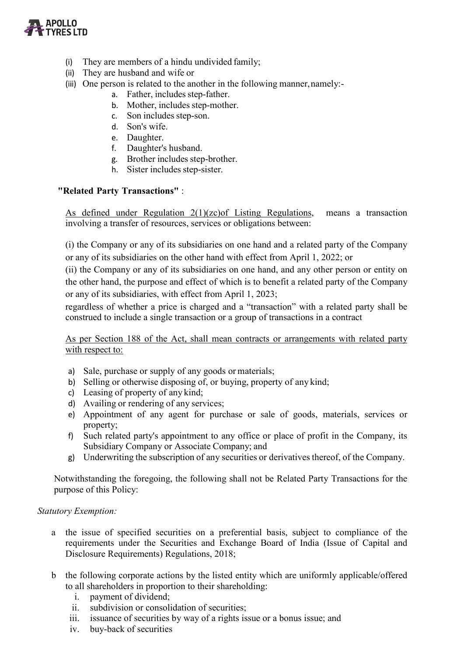

- (i) They are members of a hindu undivided family;
- (ii) They are husband and wife or
- (iii) One person is related to the another in the following manner, namely:
	- a. Father, includes step‐father.
	- b. Mother, includes step‐mother.
	- c. Son includes step‐son.
	- d. Son's wife.
	- e. Daughter.
	- f. Daughter's husband.
	- g. Brother includes step‐brother.
	- h. Sister includes step‐sister.

## **"Related Party Transactions"** :

As defined under Regulation 2(1)(zc)of Listing Regulations, means a transaction involving a transfer of resources, services or obligations between:

(i) the Company or any of its subsidiaries on one hand and a related party of the Company or any of its subsidiaries on the other hand with effect from April 1, 2022; or

(ii) the Company or any of its subsidiaries on one hand, and any other person or entity on the other hand, the purpose and effect of which is to benefit a related party of the Company or any of its subsidiaries, with effect from April 1, 2023;

regardless of whether a price is charged and a "transaction" with a related party shall be construed to include a single transaction or a group of transactions in a contract

As per Section 188 of the Act, shall mean contracts or arrangements with related party with respect to:

- a) Sale, purchase or supply of any goods or materials;
- b) Selling or otherwise disposing of, or buying, property of any kind;
- c) Leasing of property of any kind;
- d) Availing or rendering of any services;
- e) Appointment of any agent for purchase or sale of goods, materials, services or property;
- f) Such related party's appointment to any office or place of profit in the Company, its Subsidiary Company or Associate Company; and
- g) Underwriting the subscription of any securities or derivatives thereof, of the Company.

Notwithstanding the foregoing, the following shall not be Related Party Transactions for the purpose of this Policy:

### *Statutory Exemption:*

- a the issue of specified securities on a preferential basis, subject to compliance of the requirements under the Securities and Exchange Board of India (Issue of Capital and Disclosure Requirements) Regulations, 2018;
- b the following corporate actions by the listed entity which are uniformly applicable/offered to all shareholders in proportion to their shareholding:
	- i. payment of dividend;
	- ii. subdivision or consolidation of securities;
	- iii. issuance of securities by way of a rights issue or a bonus issue; and
	- iv. buy-back of securities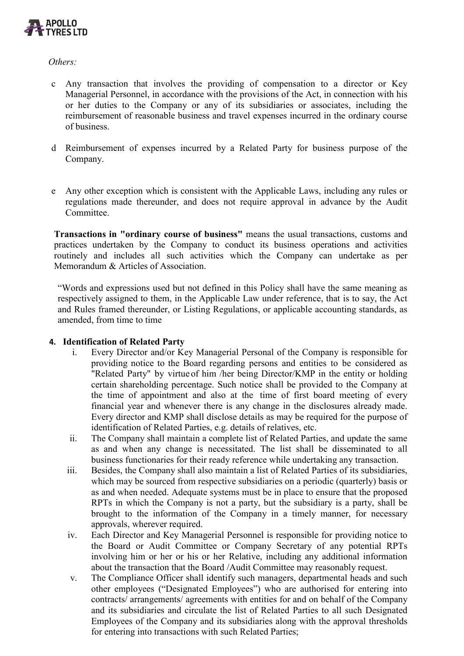

*Others:*

- c Any transaction that involves the providing of compensation to a director or Key Managerial Personnel, in accordance with the provisions of the Act, in connection with his or her duties to the Company or any of its subsidiaries or associates, including the reimbursement of reasonable business and travel expenses incurred in the ordinary course of business.
- d Reimbursement of expenses incurred by a Related Party for business purpose of the Company.
- e Any other exception which is consistent with the Applicable Laws, including any rules or regulations made thereunder, and does not require approval in advance by the Audit Committee.

**Transactions in "ordinary course of business"** means the usual transactions, customs and practices undertaken by the Company to conduct its business operations and activities routinely and includes all such activities which the Company can undertake as per Memorandum & Articles of Association.

"Words and expressions used but not defined in this Policy shall have the same meaning as respectively assigned to them, in the Applicable Law under reference, that is to say, the Act and Rules framed thereunder, or Listing Regulations, or applicable accounting standards, as amended, from time to time

### **4. Identification of Related Party**

- i. Every Director and/or Key Managerial Personal of the Company is responsible for providing notice to the Board regarding persons and entities to be considered as "Related Party" by virtue of him /her being Director/KMP in the entity or holding certain shareholding percentage. Such notice shall be provided to the Company at the time of appointment and also at the time of first board meeting of every financial year and whenever there is any change in the disclosures already made. Every director and KMP shall disclose details as may be required for the purpose of identification of Related Parties, e.g. details of relatives, etc.
- ii. The Company shall maintain a complete list of Related Parties, and update the same as and when any change is necessitated. The list shall be disseminated to all business functionaries for their ready reference while undertaking any transaction.
- iii. Besides, the Company shall also maintain a list of Related Parties of its subsidiaries, which may be sourced from respective subsidiaries on a periodic (quarterly) basis or as and when needed. Adequate systems must be in place to ensure that the proposed RPTs in which the Company is not a party, but the subsidiary is a party, shall be brought to the information of the Company in a timely manner, for necessary approvals, wherever required.
- iv. Each Director and Key Managerial Personnel is responsible for providing notice to the Board or Audit Committee or Company Secretary of any potential RPTs involving him or her or his or her Relative, including any additional information about the transaction that the Board /Audit Committee may reasonably request.
- v. The Compliance Officer shall identify such managers, departmental heads and such other employees ("Designated Employees") who are authorised for entering into contracts/ arrangements/ agreements with entities for and on behalf of the Company and its subsidiaries and circulate the list of Related Parties to all such Designated Employees of the Company and its subsidiaries along with the approval thresholds for entering into transactions with such Related Parties;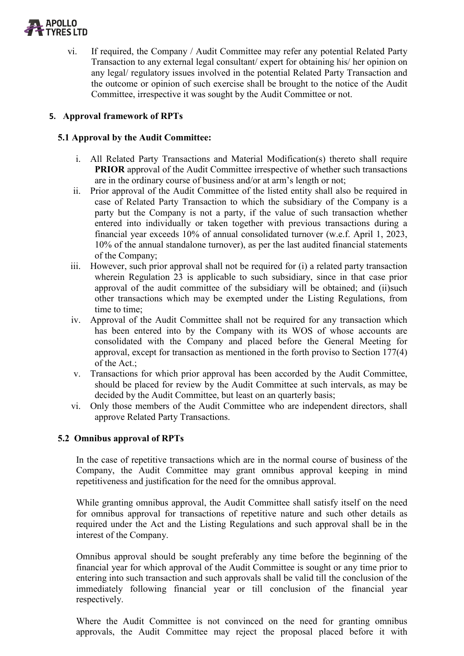

vi. If required, the Company / Audit Committee may refer any potential Related Party Transaction to any external legal consultant/ expert for obtaining his/ her opinion on any legal/ regulatory issues involved in the potential Related Party Transaction and the outcome or opinion of such exercise shall be brought to the notice of the Audit Committee, irrespective it was sought by the Audit Committee or not.

# **5. Approval framework of RPTs**

# **5.1 Approval by the Audit Committee:**

- i. All Related Party Transactions and Material Modification(s) thereto shall require **PRIOR** approval of the Audit Committee irrespective of whether such transactions are in the ordinary course of business and/or at arm's length or not;
- ii. Prior approval of the Audit Committee of the listed entity shall also be required in case of Related Party Transaction to which the subsidiary of the Company is a party but the Company is not a party, if the value of such transaction whether entered into individually or taken together with previous transactions during a financial year exceeds 10% of annual consolidated turnover (w.e.f. April 1, 2023, 10% of the annual standalone turnover), as per the last audited financial statements of the Company;
- iii. However, such prior approval shall not be required for (i) a related party transaction wherein Regulation 23 is applicable to such subsidiary, since in that case prior approval of the audit committee of the subsidiary will be obtained; and (ii)such other transactions which may be exempted under the Listing Regulations, from time to time;
- iv. Approval of the Audit Committee shall not be required for any transaction which has been entered into by the Company with its WOS of whose accounts are consolidated with the Company and placed before the General Meeting for approval, except for transaction as mentioned in the forth proviso to Section 177(4) of the Act.;
- v. Transactions for which prior approval has been accorded by the Audit Committee, should be placed for review by the Audit Committee at such intervals, as may be decided by the Audit Committee, but least on an quarterly basis;
- vi. Only those members of the Audit Committee who are independent directors, shall approve Related Party Transactions.

### **5.2 Omnibus approval of RPTs**

In the case of repetitive transactions which are in the normal course of business of the Company, the Audit Committee may grant omnibus approval keeping in mind repetitiveness and justification for the need for the omnibus approval.

While granting omnibus approval, the Audit Committee shall satisfy itself on the need for omnibus approval for transactions of repetitive nature and such other details as required under the Act and the Listing Regulations and such approval shall be in the interest of the Company.

Omnibus approval should be sought preferably any time before the beginning of the financial year for which approval of the Audit Committee is sought or any time prior to entering into such transaction and such approvals shall be valid till the conclusion of the immediately following financial year or till conclusion of the financial year respectively.

Where the Audit Committee is not convinced on the need for granting omnibus approvals, the Audit Committee may reject the proposal placed before it with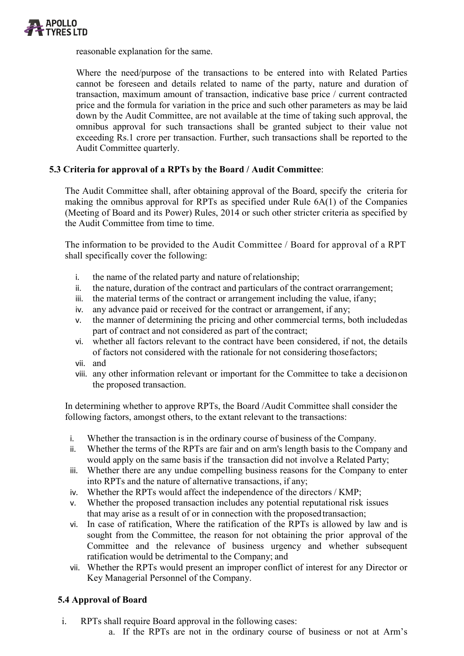

reasonable explanation for the same.

Where the need/purpose of the transactions to be entered into with Related Parties cannot be foreseen and details related to name of the party, nature and duration of transaction, maximum amount of transaction, indicative base price / current contracted price and the formula for variation in the price and such other parameters as may be laid down by the Audit Committee, are not available at the time of taking such approval, the omnibus approval for such transactions shall be granted subject to their value not exceeding Rs.1 crore per transaction. Further, such transactions shall be reported to the Audit Committee quarterly.

## **5.3 Criteria for approval of a RPTs by the Board / Audit Committee**:

The Audit Committee shall, after obtaining approval of the Board, specify the criteria for making the omnibus approval for RPTs as specified under Rule 6A(1) of the Companies (Meeting of Board and its Power) Rules, 2014 or such other stricter criteria as specified by the Audit Committee from time to time.

The information to be provided to the Audit Committee / Board for approval of a RPT shall specifically cover the following:

- i. the name of the related party and nature of relationship;
- ii. the nature, duration of the contract and particulars of the contract orarrangement;
- iii. the material terms of the contract or arrangement including the value, ifany;
- iv. any advance paid or received for the contract or arrangement, if any;
- v. the manner of determining the pricing and other commercial terms, both includedas part of contract and not considered as part of the contract;
- vi. whether all factors relevant to the contract have been considered, if not, the details of factors not considered with the rationale for not considering thosefactors;
- vii. and
- viii. any other information relevant or important for the Committee to take a decisionon the proposed transaction.

In determining whether to approve RPTs, the Board /Audit Committee shall consider the following factors, amongst others, to the extant relevant to the transactions:

- i. Whether the transaction is in the ordinary course of business of the Company.
- ii. Whether the terms of the RPTs are fair and on arm's length basis to the Company and would apply on the same basis if the transaction did not involve a Related Party;
- iii. Whether there are any undue compelling business reasons for the Company to enter into RPTs and the nature of alternative transactions, if any;
- iv. Whether the RPTs would affect the independence of the directors / KMP;
- v. Whether the proposed transaction includes any potential reputational risk issues that may arise as a result of or in connection with the proposedtransaction;
- vi. In case of ratification, Where the ratification of the RPTs is allowed by law and is sought from the Committee, the reason for not obtaining the prior approval of the Committee and the relevance of business urgency and whether subsequent ratification would be detrimental to the Company; and
- vii. Whether the RPTs would present an improper conflict of interest for any Director or Key Managerial Personnel of the Company.

### **5.4 Approval of Board**

- i. RPTs shall require Board approval in the following cases:
	- a. If the RPTs are not in the ordinary course of business or not at Arm's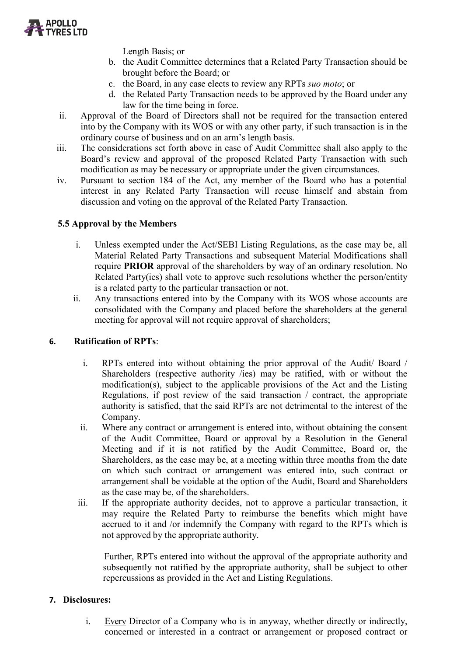

Length Basis; or

- b. the Audit Committee determines that a Related Party Transaction should be brought before the Board; or
- c. the Board, in any case elects to review any RPTs *suo moto*; or
- d. the Related Party Transaction needs to be approved by the Board under any law for the time being in force.
- ii. Approval of the Board of Directors shall not be required for the transaction entered into by the Company with its WOS or with any other party, if such transaction is in the ordinary course of business and on an arm's length basis.
- iii. The considerations set forth above in case of Audit Committee shall also apply to the Board's review and approval of the proposed Related Party Transaction with such modification as may be necessary or appropriate under the given circumstances.
- iv. Pursuant to section 184 of the Act, any member of the Board who has a potential interest in any Related Party Transaction will recuse himself and abstain from discussion and voting on the approval of the Related Party Transaction.

# **5.5 Approval by the Members**

- i. Unless exempted under the Act/SEBI Listing Regulations, as the case may be, all Material Related Party Transactions and subsequent Material Modifications shall require **PRIOR** approval of the shareholders by way of an ordinary resolution. No Related Party(ies) shall vote to approve such resolutions whether the person/entity is a related party to the particular transaction or not.
- ii. Any transactions entered into by the Company with its WOS whose accounts are consolidated with the Company and placed before the shareholders at the general meeting for approval will not require approval of shareholders;

### **6. Ratification of RPTs**:

- i. RPTs entered into without obtaining the prior approval of the Audit/ Board / Shareholders (respective authority /ies) may be ratified, with or without the modification(s), subject to the applicable provisions of the Act and the Listing Regulations, if post review of the said transaction / contract, the appropriate authority is satisfied, that the said RPTs are not detrimental to the interest of the Company.
- ii. Where any contract or arrangement is entered into, without obtaining the consent of the Audit Committee, Board or approval by a Resolution in the General Meeting and if it is not ratified by the Audit Committee, Board or, the Shareholders, as the case may be, at a meeting within three months from the date on which such contract or arrangement was entered into, such contract or arrangement shall be voidable at the option of the Audit, Board and Shareholders as the case may be, of the shareholders.
- iii. If the appropriate authority decides, not to approve a particular transaction, it may require the Related Party to reimburse the benefits which might have accrued to it and /or indemnify the Company with regard to the RPTs which is not approved by the appropriate authority.

 Further, RPTs entered into without the approval of the appropriate authority and subsequently not ratified by the appropriate authority, shall be subject to other repercussions as provided in the Act and Listing Regulations.

### **7. Disclosures:**

i. Every Director of a Company who is in anyway, whether directly or indirectly, concerned or interested in a contract or arrangement or proposed contract or